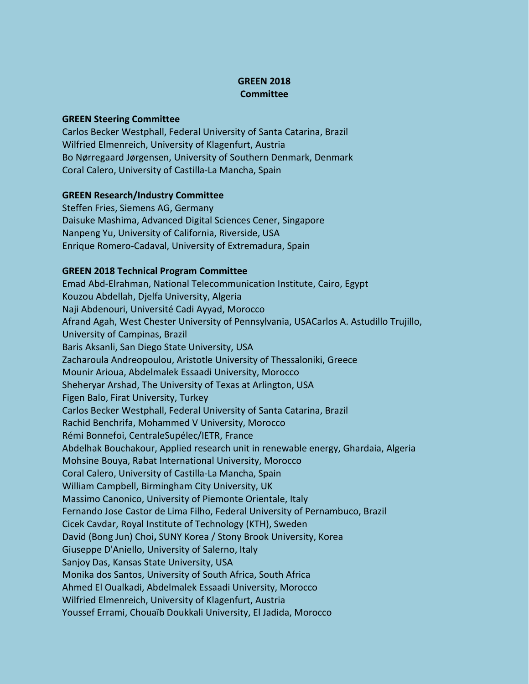## **GREEN 2018 Committee**

## **GREEN Steering Committee**

Carlos Becker Westphall, Federal University of Santa Catarina, Brazil Wilfried Elmenreich, University of Klagenfurt, Austria Bo Nørregaard Jørgensen, University of Southern Denmark, Denmark Coral Calero, University of Castilla-La Mancha, Spain

## **GREEN Research/Industry Committee**

Steffen Fries, Siemens AG, Germany Daisuke Mashima, Advanced Digital Sciences Cener, Singapore Nanpeng Yu, University of California, Riverside, USA Enrique Romero-Cadaval, University of Extremadura, Spain

## **GREEN 2018 Technical Program Committee**

Emad Abd-Elrahman, National Telecommunication Institute, Cairo, Egypt Kouzou Abdellah, Djelfa University, Algeria Naji Abdenouri, Université Cadi Ayyad, Morocco Afrand Agah, West Chester University of Pennsylvania, USACarlos A. Astudillo Trujillo, University of Campinas, Brazil Baris Aksanli, San Diego State University, USA Zacharoula Andreopoulou, Aristotle University of Thessaloniki, Greece Mounir Arioua, Abdelmalek Essaadi University, Morocco Sheheryar Arshad, The University of Texas at Arlington, USA Figen Balo, Firat University, Turkey Carlos Becker Westphall, Federal University of Santa Catarina, Brazil Rachid Benchrifa, Mohammed V University, Morocco Rémi Bonnefoi, CentraleSupélec/IETR, France Abdelhak Bouchakour, Applied research unit in renewable energy, Ghardaia, Algeria Mohsine Bouya, Rabat International University, Morocco Coral Calero, University of Castilla-La Mancha, Spain William Campbell, Birmingham City University, UK Massimo Canonico, University of Piemonte Orientale, Italy Fernando Jose Castor de Lima Filho, Federal University of Pernambuco, Brazil Cicek Cavdar, Royal Institute of Technology (KTH), Sweden David (Bong Jun) Choi**,** SUNY Korea / Stony Brook University, Korea Giuseppe D'Aniello, University of Salerno, Italy Sanjoy Das, Kansas State University, USA Monika dos Santos, University of South Africa, South Africa Ahmed El Oualkadi, Abdelmalek Essaadi University, Morocco Wilfried Elmenreich, University of Klagenfurt, Austria Youssef Errami, Chouaïb Doukkali University, El Jadida, Morocco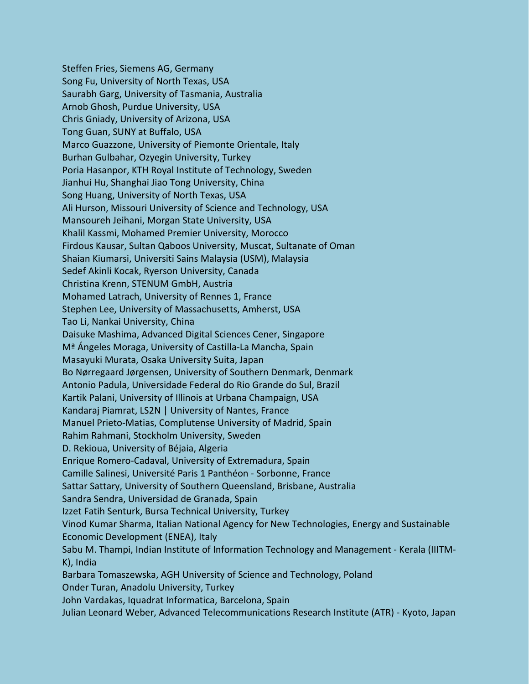Steffen Fries, Siemens AG, Germany Song Fu, University of North Texas, USA Saurabh Garg, University of Tasmania, Australia Arnob Ghosh, Purdue University, USA Chris Gniady, University of Arizona, USA Tong Guan, SUNY at Buffalo, USA Marco Guazzone, University of Piemonte Orientale, Italy Burhan Gulbahar, Ozyegin University, Turkey Poria Hasanpor, KTH Royal Institute of Technology, Sweden Jianhui Hu, Shanghai Jiao Tong University, China Song Huang, University of North Texas, USA Ali Hurson, Missouri University of Science and Technology, USA Mansoureh Jeihani, Morgan State University, USA Khalil Kassmi, Mohamed Premier University, Morocco Firdous Kausar, Sultan Qaboos University, Muscat, Sultanate of Oman Shaian Kiumarsi, Universiti Sains Malaysia (USM), Malaysia Sedef Akinli Kocak, Ryerson University, Canada Christina Krenn, STENUM GmbH, Austria Mohamed Latrach, University of Rennes 1, France Stephen Lee, University of Massachusetts, Amherst, USA Tao Li, Nankai University, China Daisuke Mashima, Advanced Digital Sciences Cener, Singapore Mª Ángeles Moraga, University of Castilla-La Mancha, Spain Masayuki Murata, Osaka University Suita, Japan Bo Nørregaard Jørgensen, University of Southern Denmark, Denmark Antonio Padula, Universidade Federal do Rio Grande do Sul, Brazil Kartik Palani, University of Illinois at Urbana Champaign, USA Kandaraj Piamrat, LS2N | University of Nantes, France Manuel Prieto-Matias, Complutense University of Madrid, Spain Rahim Rahmani, Stockholm University, Sweden D. Rekioua, University of Béjaia, Algeria Enrique Romero-Cadaval, University of Extremadura, Spain Camille Salinesi, Université Paris 1 Panthéon - Sorbonne, France Sattar Sattary, University of Southern Queensland, Brisbane, Australia Sandra Sendra, Universidad de Granada, Spain Izzet Fatih Senturk, Bursa Technical University, Turkey Vinod Kumar Sharma, Italian National Agency for New Technologies, Energy and Sustainable Economic Development (ENEA), Italy Sabu M. Thampi, Indian Institute of Information Technology and Management - Kerala (IIITM-K), India Barbara Tomaszewska, AGH University of Science and Technology, Poland Onder Turan, Anadolu University, Turkey John Vardakas, Iquadrat Informatica, Barcelona, Spain Julian Leonard Weber, Advanced Telecommunications Research Institute (ATR) - Kyoto, Japan